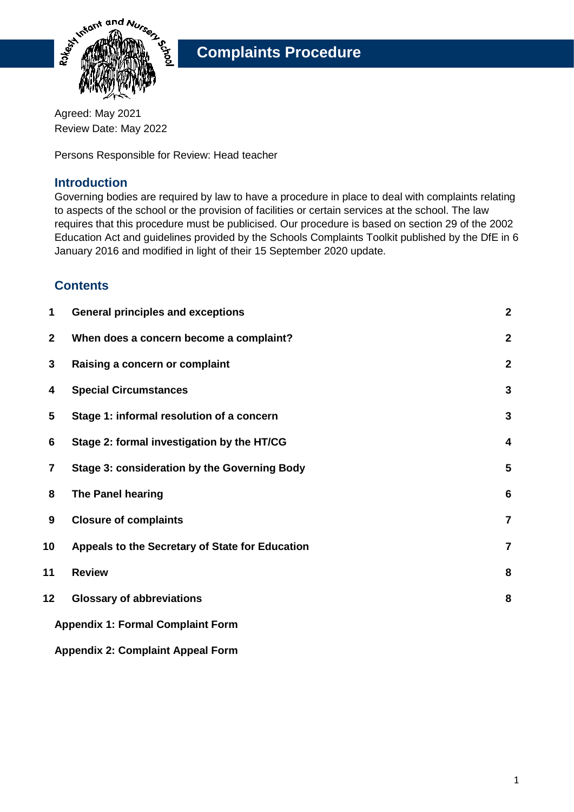

Agreed: May 2021 Review Date: May 2022

Persons Responsible for Review: Head teacher

### **Introduction**

Governing bodies are required by law to have a procedure in place to deal with complaints relating to aspects of the school or the provision of facilities or certain services at the school. The law requires that this procedure must be publicised. Our procedure is based on section 29 of the 2002 Education Act and guidelines provided by the Schools Complaints Toolkit published by the DfE in 6 January 2016 and modified in light of their 15 September 2020 update.

## **Contents**

| 1               | <b>General principles and exceptions</b>        | $\boldsymbol{2}$        |  |  |
|-----------------|-------------------------------------------------|-------------------------|--|--|
| $\mathbf{2}$    | When does a concern become a complaint?         | $\overline{\mathbf{2}}$ |  |  |
| 3               | Raising a concern or complaint                  | $\boldsymbol{2}$        |  |  |
| 4               | <b>Special Circumstances</b>                    | $\mathbf{3}$            |  |  |
| 5               | Stage 1: informal resolution of a concern       | 3                       |  |  |
| 6               | Stage 2: formal investigation by the HT/CG      | 4                       |  |  |
| 7               | Stage 3: consideration by the Governing Body    | 5                       |  |  |
| 8               | The Panel hearing                               | $6\phantom{1}6$         |  |  |
| 9               | <b>Closure of complaints</b>                    | $\overline{7}$          |  |  |
| 10              | Appeals to the Secretary of State for Education | $\overline{7}$          |  |  |
| 11              | <b>Review</b>                                   | 8                       |  |  |
| 12 <sub>2</sub> | <b>Glossary of abbreviations</b>                | 8                       |  |  |
|                 | <b>Appendix 1: Formal Complaint Form</b>        |                         |  |  |
|                 |                                                 |                         |  |  |

#### **Appendix 2: Complaint Appeal Form**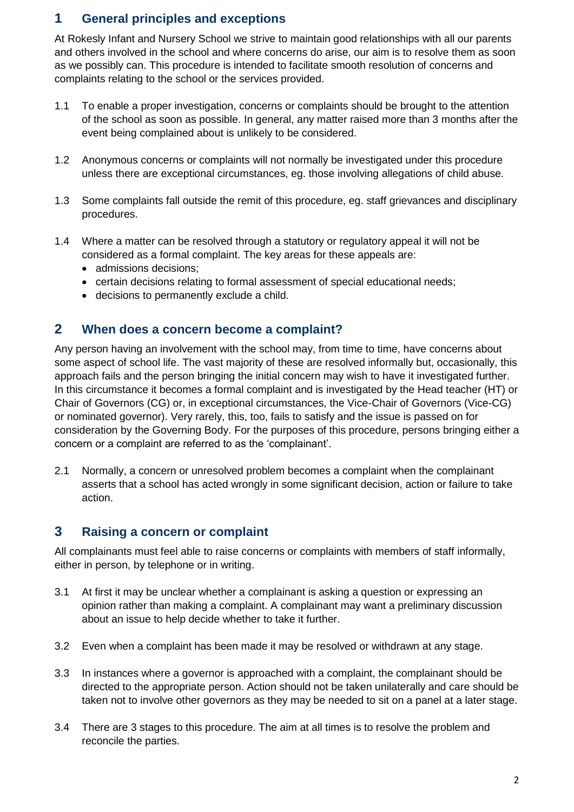## **1 General principles and exceptions**

At Rokesly Infant and Nursery School we strive to maintain good relationships with all our parents and others involved in the school and where concerns do arise, our aim is to resolve them as soon as we possibly can. This procedure is intended to facilitate smooth resolution of concerns and complaints relating to the school or the services provided.

- 1.1 To enable a proper investigation, concerns or complaints should be brought to the attention of the school as soon as possible. In general, any matter raised more than 3 months after the event being complained about is unlikely to be considered.
- 1.2 Anonymous concerns or complaints will not normally be investigated under this procedure unless there are exceptional circumstances, eg. those involving allegations of child abuse.
- 1.3 Some complaints fall outside the remit of this procedure, eg. staff grievances and disciplinary procedures.
- 1.4 Where a matter can be resolved through a statutory or regulatory appeal it will not be considered as a formal complaint. The key areas for these appeals are:
	- admissions decisions;
	- certain decisions relating to formal assessment of special educational needs;
	- decisions to permanently exclude a child.

### **2 When does a concern become a complaint?**

Any person having an involvement with the school may, from time to time, have concerns about some aspect of school life. The vast majority of these are resolved informally but, occasionally, this approach fails and the person bringing the initial concern may wish to have it investigated further. In this circumstance it becomes a formal complaint and is investigated by the Head teacher (HT) or Chair of Governors (CG) or, in exceptional circumstances, the Vice-Chair of Governors (Vice-CG) or nominated governor). Very rarely, this, too, fails to satisfy and the issue is passed on for consideration by the Governing Body. For the purposes of this procedure, persons bringing either a concern or a complaint are referred to as the 'complainant'.

2.1 Normally, a concern or unresolved problem becomes a complaint when the complainant asserts that a school has acted wrongly in some significant decision, action or failure to take action.

### **3 Raising a concern or complaint**

All complainants must feel able to raise concerns or complaints with members of staff informally, either in person, by telephone or in writing.

- 3.1 At first it may be unclear whether a complainant is asking a question or expressing an opinion rather than making a complaint. A complainant may want a preliminary discussion about an issue to help decide whether to take it further.
- 3.2 Even when a complaint has been made it may be resolved or withdrawn at any stage.
- 3.3 In instances where a governor is approached with a complaint, the complainant should be directed to the appropriate person. Action should not be taken unilaterally and care should be taken not to involve other governors as they may be needed to sit on a panel at a later stage.
- 3.4 There are 3 stages to this procedure. The aim at all times is to resolve the problem and reconcile the parties.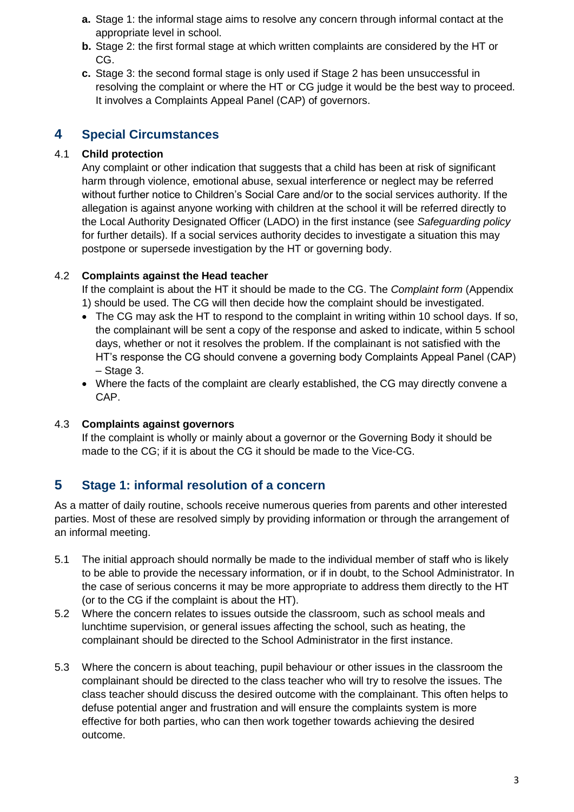- **a.** Stage 1: the informal stage aims to resolve any concern through informal contact at the appropriate level in school.
- **b.** Stage 2: the first formal stage at which written complaints are considered by the HT or CG.
- **c.** Stage 3: the second formal stage is only used if Stage 2 has been unsuccessful in resolving the complaint or where the HT or CG judge it would be the best way to proceed. It involves a Complaints Appeal Panel (CAP) of governors.

## **4 Special Circumstances**

### 4.1 **Child protection**

Any complaint or other indication that suggests that a child has been at risk of significant harm through violence, emotional abuse, sexual interference or neglect may be referred without further notice to Children's Social Care and/or to the social services authority. If the allegation is against anyone working with children at the school it will be referred directly to the Local Authority Designated Officer (LADO) in the first instance (see *Safeguarding policy* for further details). If a social services authority decides to investigate a situation this may postpone or supersede investigation by the HT or governing body.

#### 4.2 **Complaints against the Head teacher**

If the complaint is about the HT it should be made to the CG. The *Complaint form* (Appendix 1) should be used. The CG will then decide how the complaint should be investigated.

- The CG may ask the HT to respond to the complaint in writing within 10 school days. If so, the complainant will be sent a copy of the response and asked to indicate, within 5 school days, whether or not it resolves the problem. If the complainant is not satisfied with the HT's response the CG should convene a governing body Complaints Appeal Panel (CAP) – Stage 3.
- Where the facts of the complaint are clearly established, the CG may directly convene a CAP.

#### 4.3 **Complaints against governors**

If the complaint is wholly or mainly about a governor or the Governing Body it should be made to the CG; if it is about the CG it should be made to the Vice-CG.

# **5 Stage 1: informal resolution of a concern**

As a matter of daily routine, schools receive numerous queries from parents and other interested parties. Most of these are resolved simply by providing information or through the arrangement of an informal meeting.

- 5.1 The initial approach should normally be made to the individual member of staff who is likely to be able to provide the necessary information, or if in doubt, to the School Administrator. In the case of serious concerns it may be more appropriate to address them directly to the HT (or to the CG if the complaint is about the HT).
- 5.2 Where the concern relates to issues outside the classroom, such as school meals and lunchtime supervision, or general issues affecting the school, such as heating, the complainant should be directed to the School Administrator in the first instance.
- 5.3 Where the concern is about teaching, pupil behaviour or other issues in the classroom the complainant should be directed to the class teacher who will try to resolve the issues. The class teacher should discuss the desired outcome with the complainant. This often helps to defuse potential anger and frustration and will ensure the complaints system is more effective for both parties, who can then work together towards achieving the desired outcome.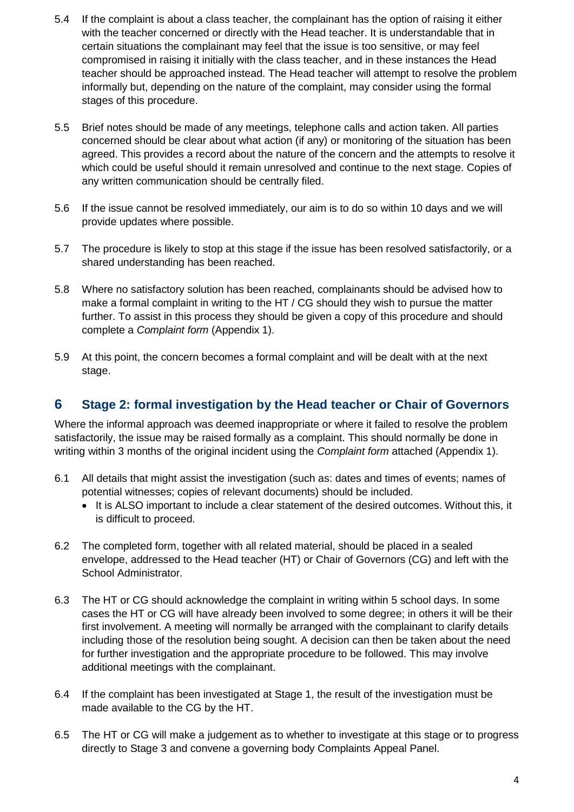- 5.4 If the complaint is about a class teacher, the complainant has the option of raising it either with the teacher concerned or directly with the Head teacher. It is understandable that in certain situations the complainant may feel that the issue is too sensitive, or may feel compromised in raising it initially with the class teacher, and in these instances the Head teacher should be approached instead. The Head teacher will attempt to resolve the problem informally but, depending on the nature of the complaint, may consider using the formal stages of this procedure.
- 5.5 Brief notes should be made of any meetings, telephone calls and action taken. All parties concerned should be clear about what action (if any) or monitoring of the situation has been agreed. This provides a record about the nature of the concern and the attempts to resolve it which could be useful should it remain unresolved and continue to the next stage. Copies of any written communication should be centrally filed.
- 5.6 If the issue cannot be resolved immediately, our aim is to do so within 10 days and we will provide updates where possible.
- 5.7 The procedure is likely to stop at this stage if the issue has been resolved satisfactorily, or a shared understanding has been reached.
- 5.8 Where no satisfactory solution has been reached, complainants should be advised how to make a formal complaint in writing to the HT / CG should they wish to pursue the matter further. To assist in this process they should be given a copy of this procedure and should complete a *Complaint form* (Appendix 1).
- 5.9 At this point, the concern becomes a formal complaint and will be dealt with at the next stage.

## **6 Stage 2: formal investigation by the Head teacher or Chair of Governors**

Where the informal approach was deemed inappropriate or where it failed to resolve the problem satisfactorily, the issue may be raised formally as a complaint. This should normally be done in writing within 3 months of the original incident using the *Complaint form* attached (Appendix 1).

- 6.1 All details that might assist the investigation (such as: dates and times of events; names of potential witnesses; copies of relevant documents) should be included.
	- It is ALSO important to include a clear statement of the desired outcomes. Without this, it is difficult to proceed.
- 6.2 The completed form, together with all related material, should be placed in a sealed envelope, addressed to the Head teacher (HT) or Chair of Governors (CG) and left with the School Administrator.
- 6.3 The HT or CG should acknowledge the complaint in writing within 5 school days. In some cases the HT or CG will have already been involved to some degree; in others it will be their first involvement. A meeting will normally be arranged with the complainant to clarify details including those of the resolution being sought. A decision can then be taken about the need for further investigation and the appropriate procedure to be followed. This may involve additional meetings with the complainant.
- 6.4 If the complaint has been investigated at Stage 1, the result of the investigation must be made available to the CG by the HT.
- 6.5 The HT or CG will make a judgement as to whether to investigate at this stage or to progress directly to Stage 3 and convene a governing body Complaints Appeal Panel.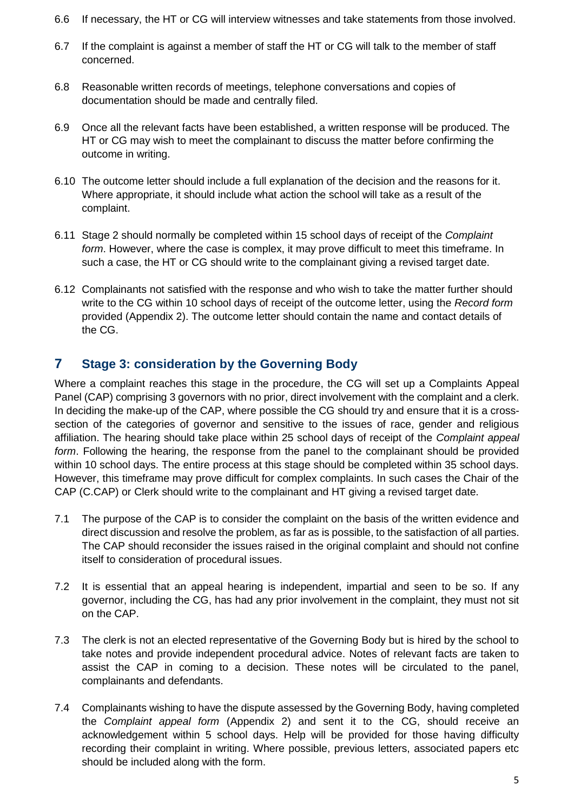- 6.6 If necessary, the HT or CG will interview witnesses and take statements from those involved.
- 6.7 If the complaint is against a member of staff the HT or CG will talk to the member of staff concerned.
- 6.8 Reasonable written records of meetings, telephone conversations and copies of documentation should be made and centrally filed.
- 6.9 Once all the relevant facts have been established, a written response will be produced. The HT or CG may wish to meet the complainant to discuss the matter before confirming the outcome in writing.
- 6.10 The outcome letter should include a full explanation of the decision and the reasons for it. Where appropriate, it should include what action the school will take as a result of the complaint.
- 6.11 Stage 2 should normally be completed within 15 school days of receipt of the *Complaint form*. However, where the case is complex, it may prove difficult to meet this timeframe. In such a case, the HT or CG should write to the complainant giving a revised target date.
- 6.12 Complainants not satisfied with the response and who wish to take the matter further should write to the CG within 10 school days of receipt of the outcome letter, using the *Record form* provided (Appendix 2). The outcome letter should contain the name and contact details of the CG.

# **7 Stage 3: consideration by the Governing Body**

Where a complaint reaches this stage in the procedure, the CG will set up a Complaints Appeal Panel (CAP) comprising 3 governors with no prior, direct involvement with the complaint and a clerk. In deciding the make-up of the CAP, where possible the CG should try and ensure that it is a crosssection of the categories of governor and sensitive to the issues of race, gender and religious affiliation. The hearing should take place within 25 school days of receipt of the *Complaint appeal form*. Following the hearing, the response from the panel to the complainant should be provided within 10 school days. The entire process at this stage should be completed within 35 school days. However, this timeframe may prove difficult for complex complaints. In such cases the Chair of the CAP (C.CAP) or Clerk should write to the complainant and HT giving a revised target date.

- 7.1 The purpose of the CAP is to consider the complaint on the basis of the written evidence and direct discussion and resolve the problem, as far as is possible, to the satisfaction of all parties. The CAP should reconsider the issues raised in the original complaint and should not confine itself to consideration of procedural issues.
- 7.2 It is essential that an appeal hearing is independent, impartial and seen to be so. If any governor, including the CG, has had any prior involvement in the complaint, they must not sit on the CAP.
- 7.3 The clerk is not an elected representative of the Governing Body but is hired by the school to take notes and provide independent procedural advice. Notes of relevant facts are taken to assist the CAP in coming to a decision. These notes will be circulated to the panel, complainants and defendants.
- 7.4 Complainants wishing to have the dispute assessed by the Governing Body, having completed the *Complaint appeal form* (Appendix 2) and sent it to the CG, should receive an acknowledgement within 5 school days. Help will be provided for those having difficulty recording their complaint in writing. Where possible, previous letters, associated papers etc should be included along with the form.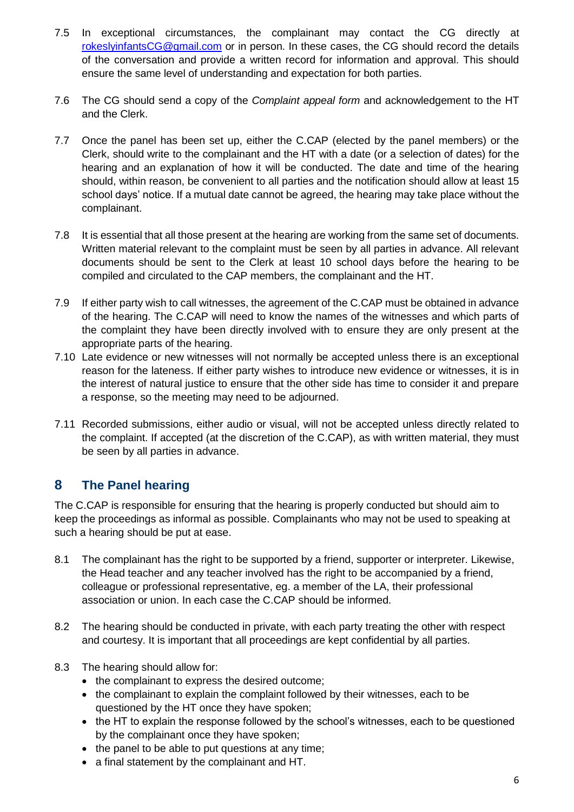- 7.5 In exceptional circumstances, the complainant may contact the CG directly at [rokeslyinfantsCG@gmail.com](mailto:rokeslyinfantsCG@gmail.com) or in person. In these cases, the CG should record the details of the conversation and provide a written record for information and approval. This should ensure the same level of understanding and expectation for both parties.
- 7.6 The CG should send a copy of the *Complaint appeal form* and acknowledgement to the HT and the Clerk.
- 7.7 Once the panel has been set up, either the C.CAP (elected by the panel members) or the Clerk, should write to the complainant and the HT with a date (or a selection of dates) for the hearing and an explanation of how it will be conducted. The date and time of the hearing should, within reason, be convenient to all parties and the notification should allow at least 15 school days' notice. If a mutual date cannot be agreed, the hearing may take place without the complainant.
- 7.8 It is essential that all those present at the hearing are working from the same set of documents. Written material relevant to the complaint must be seen by all parties in advance. All relevant documents should be sent to the Clerk at least 10 school days before the hearing to be compiled and circulated to the CAP members, the complainant and the HT.
- 7.9 If either party wish to call witnesses, the agreement of the C.CAP must be obtained in advance of the hearing. The C.CAP will need to know the names of the witnesses and which parts of the complaint they have been directly involved with to ensure they are only present at the appropriate parts of the hearing.
- 7.10 Late evidence or new witnesses will not normally be accepted unless there is an exceptional reason for the lateness. If either party wishes to introduce new evidence or witnesses, it is in the interest of natural justice to ensure that the other side has time to consider it and prepare a response, so the meeting may need to be adjourned.
- 7.11 Recorded submissions, either audio or visual, will not be accepted unless directly related to the complaint. If accepted (at the discretion of the C.CAP), as with written material, they must be seen by all parties in advance.

# **8 The Panel hearing**

The C.CAP is responsible for ensuring that the hearing is properly conducted but should aim to keep the proceedings as informal as possible. Complainants who may not be used to speaking at such a hearing should be put at ease.

- 8.1 The complainant has the right to be supported by a friend, supporter or interpreter. Likewise, the Head teacher and any teacher involved has the right to be accompanied by a friend, colleague or professional representative, eg. a member of the LA, their professional association or union. In each case the C.CAP should be informed.
- 8.2 The hearing should be conducted in private, with each party treating the other with respect and courtesy. It is important that all proceedings are kept confidential by all parties.
- 8.3 The hearing should allow for:
	- the complainant to express the desired outcome;
	- the complainant to explain the complaint followed by their witnesses, each to be questioned by the HT once they have spoken;
	- the HT to explain the response followed by the school's witnesses, each to be questioned by the complainant once they have spoken;
	- $\bullet$  the panel to be able to put questions at any time;
	- a final statement by the complainant and HT.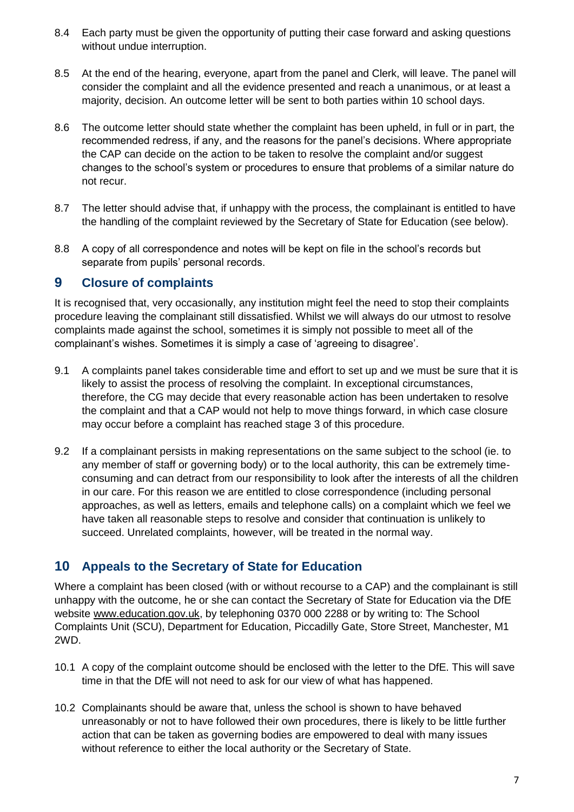- 8.4 Each party must be given the opportunity of putting their case forward and asking questions without undue interruption.
- 8.5 At the end of the hearing, everyone, apart from the panel and Clerk, will leave. The panel will consider the complaint and all the evidence presented and reach a unanimous, or at least a majority, decision. An outcome letter will be sent to both parties within 10 school days.
- 8.6 The outcome letter should state whether the complaint has been upheld, in full or in part, the recommended redress, if any, and the reasons for the panel's decisions. Where appropriate the CAP can decide on the action to be taken to resolve the complaint and/or suggest changes to the school's system or procedures to ensure that problems of a similar nature do not recur.
- 8.7 The letter should advise that, if unhappy with the process, the complainant is entitled to have the handling of the complaint reviewed by the Secretary of State for Education (see below).
- 8.8 A copy of all correspondence and notes will be kept on file in the school's records but separate from pupils' personal records.

## **9 Closure of complaints**

It is recognised that, very occasionally, any institution might feel the need to stop their complaints procedure leaving the complainant still dissatisfied. Whilst we will always do our utmost to resolve complaints made against the school, sometimes it is simply not possible to meet all of the complainant's wishes. Sometimes it is simply a case of 'agreeing to disagree'.

- 9.1 A complaints panel takes considerable time and effort to set up and we must be sure that it is likely to assist the process of resolving the complaint. In exceptional circumstances, therefore, the CG may decide that every reasonable action has been undertaken to resolve the complaint and that a CAP would not help to move things forward, in which case closure may occur before a complaint has reached stage 3 of this procedure.
- 9.2 If a complainant persists in making representations on the same subject to the school (ie. to any member of staff or governing body) or to the local authority, this can be extremely timeconsuming and can detract from our responsibility to look after the interests of all the children in our care. For this reason we are entitled to close correspondence (including personal approaches, as well as letters, emails and telephone calls) on a complaint which we feel we have taken all reasonable steps to resolve and consider that continuation is unlikely to succeed. Unrelated complaints, however, will be treated in the normal way.

# **10 Appeals to the Secretary of State for Education**

Where a complaint has been closed (with or without recourse to a CAP) and the complainant is still unhappy with the outcome, he or she can contact the Secretary of State for Education via the DfE website www.education.gov.uk, by telephoning 0370 000 2288 or by writing to: The School Complaints Unit (SCU), Department for Education, Piccadilly Gate, Store Street, Manchester, M1 2WD.

- 10.1 A copy of the complaint outcome should be enclosed with the letter to the DfE. This will save time in that the DfE will not need to ask for our view of what has happened.
- 10.2 Complainants should be aware that, unless the school is shown to have behaved unreasonably or not to have followed their own procedures, there is likely to be little further action that can be taken as governing bodies are empowered to deal with many issues without reference to either the local authority or the Secretary of State.